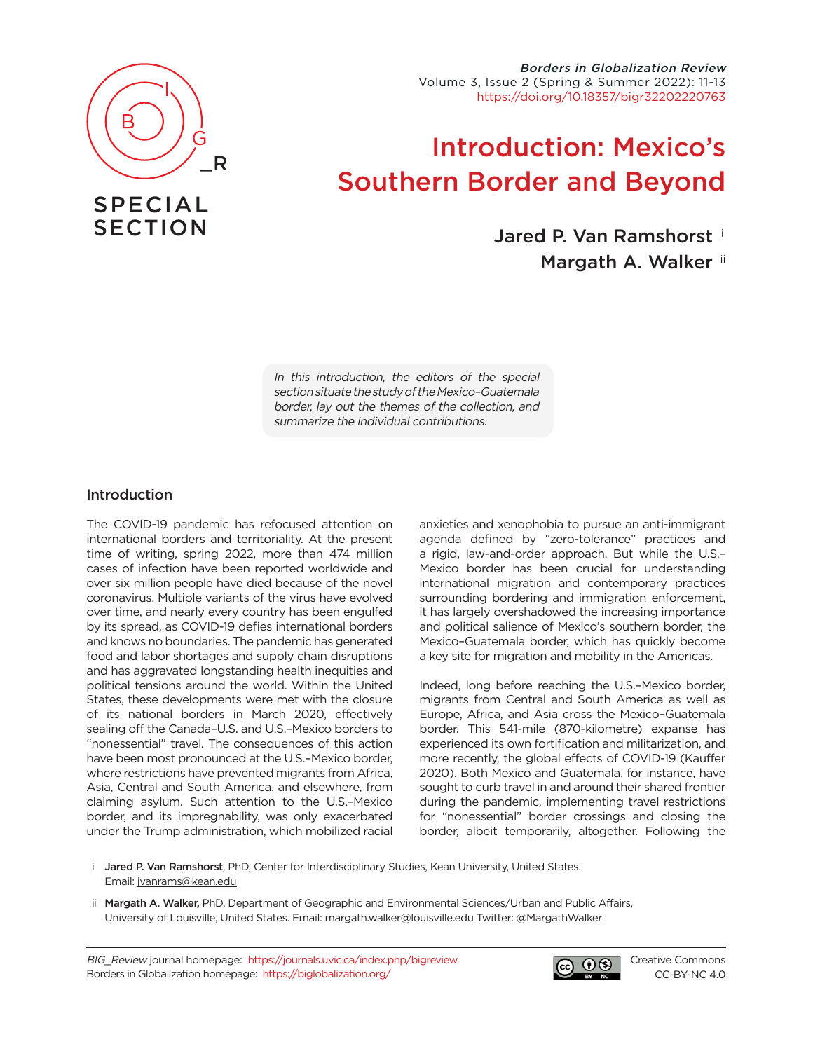

## SPECIAL **SECTION**

Borders in Globalization Review Volume 3, Issue 2 (Spring & Summer 2022): 11-13 <https://doi.org/10.18357/bigr32202220763>

## Introduction: Mexico's Southern Border and Beyond

Jared P. Van Ramshorst <sup>i</sup>

Margath A. Walker ii

In this introduction, the editors of the special section situate the study of the Mexico–Guatemala border, lay out the themes of the collection, and summarize the individual contributions.

## Introduction

The COVID-19 pandemic has refocused attention on international borders and territoriality. At the present time of writing, spring 2022, more than 474 million cases of infection have been reported worldwide and over six million people have died because of the novel coronavirus. Multiple variants of the virus have evolved over time, and nearly every country has been engulfed by its spread, as COVID-19 defies international borders and knows no boundaries. The pandemic has generated food and labor shortages and supply chain disruptions and has aggravated longstanding health inequities and political tensions around the world. Within the United States, these developments were met with the closure of its national borders in March 2020, effectively sealing off the Canada–U.S. and U.S.–Mexico borders to "nonessential" travel. The consequences of this action have been most pronounced at the U.S.–Mexico border, where restrictions have prevented migrants from Africa, Asia, Central and South America, and elsewhere, from claiming asylum. Such attention to the U.S.–Mexico border, and its impregnability, was only exacerbated under the Trump administration, which mobilized racial anxieties and xenophobia to pursue an anti-immigrant agenda defined by "zero-tolerance" practices and a rigid, law-and-order approach. But while the U.S.– Mexico border has been crucial for understanding international migration and contemporary practices surrounding bordering and immigration enforcement, it has largely overshadowed the increasing importance and political salience of Mexico's southern border, the Mexico–Guatemala border, which has quickly become a key site for migration and mobility in the Americas.

Indeed, long before reaching the U.S.–Mexico border, migrants from Central and South America as well as Europe, Africa, and Asia cross the Mexico–Guatemala border. This 541-mile (870-kilometre) expanse has experienced its own fortification and militarization, and more recently, the global effects of COVID-19 (Kauffer 2020). Both Mexico and Guatemala, for instance, have sought to curb travel in and around their shared frontier during the pandemic, implementing travel restrictions for "nonessential" border crossings and closing the border, albeit temporarily, altogether. Following the

- i Jared P. Van Ramshorst, PhD, Center for Interdisciplinary Studies, Kean University, United States. Email: [jvanrams@kean.edu](mailto:jvanrams%40kean.edu?subject=)
- ii Margath A. Walker, PhD, Department of Geographic and Environmental Sciences/Urban and Public Affairs, University of Louisville, United States. Email: [margath.walker@louisville.edu](mailto:margath.walker%40louisville.edu?subject=) Twitter: [@MargathWalker](https://twitter.com/MargathWalker)

BIG\_Review journal homepage: <https://journals.uvic.ca/index.php/bigreview> Borders in Globalization homepage: <https://biglobalization.org/>



[Creative Commons](https://creativecommons.org/licenses/by-nc/4.0/) [CC-BY-NC 4.0](https://creativecommons.org/licenses/by-nc/4.0/)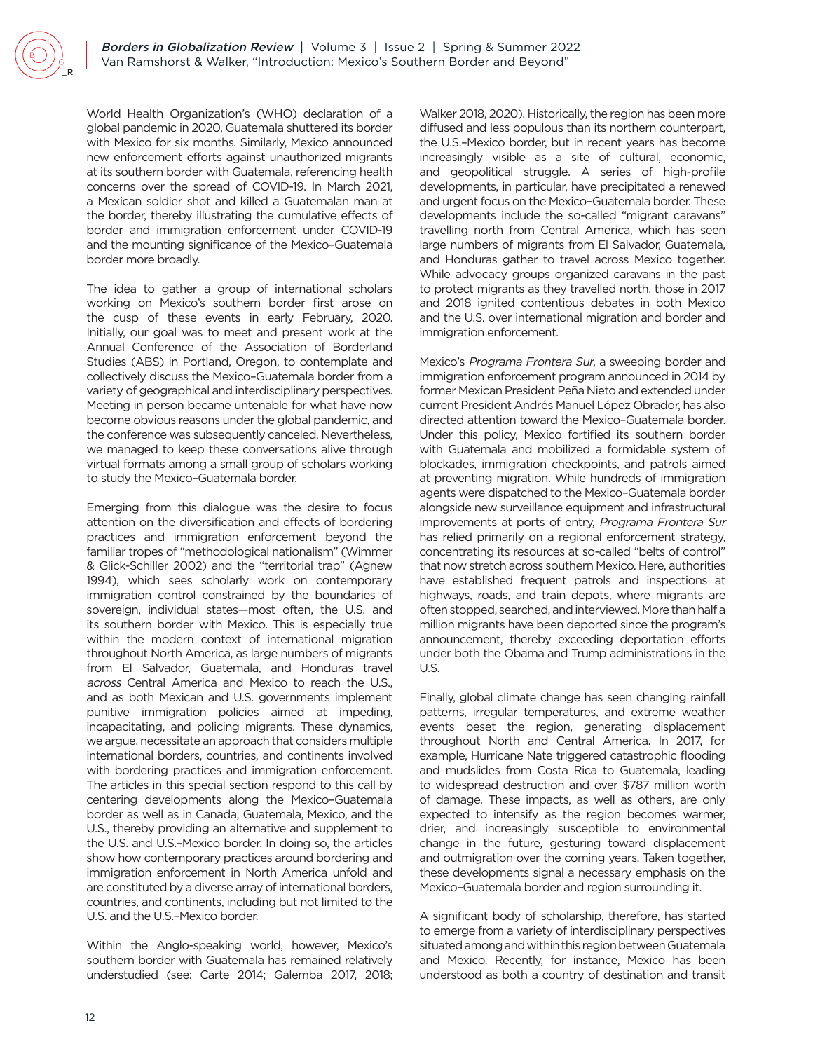World Health Organization's (WHO) declaration of a global pandemic in 2020, Guatemala shuttered its border with Mexico for six months. Similarly, Mexico announced new enforcement efforts against unauthorized migrants at its southern border with Guatemala, referencing health concerns over the spread of COVID-19. In March 2021, a Mexican soldier shot and killed a Guatemalan man at the border, thereby illustrating the cumulative effects of border and immigration enforcement under COVID-19 and the mounting significance of the Mexico–Guatemala border more broadly.

The idea to gather a group of international scholars working on Mexico's southern border first arose on the cusp of these events in early February, 2020. Initially, our goal was to meet and present work at the Annual Conference of the Association of Borderland Studies (ABS) in Portland, Oregon, to contemplate and collectively discuss the Mexico–Guatemala border from a variety of geographical and interdisciplinary perspectives. Meeting in person became untenable for what have now become obvious reasons under the global pandemic, and the conference was subsequently canceled. Nevertheless, we managed to keep these conversations alive through virtual formats among a small group of scholars working to study the Mexico–Guatemala border.

Emerging from this dialogue was the desire to focus attention on the diversification and effects of bordering practices and immigration enforcement beyond the familiar tropes of "methodological nationalism" (Wimmer & Glick-Schiller 2002) and the "territorial trap" (Agnew 1994), which sees scholarly work on contemporary immigration control constrained by the boundaries of sovereign, individual states—most often, the U.S. and its southern border with Mexico. This is especially true within the modern context of international migration throughout North America, as large numbers of migrants from El Salvador, Guatemala, and Honduras travel across Central America and Mexico to reach the U.S., and as both Mexican and U.S. governments implement punitive immigration policies aimed at impeding, incapacitating, and policing migrants. These dynamics, we argue, necessitate an approach that considers multiple international borders, countries, and continents involved with bordering practices and immigration enforcement. The articles in this special section respond to this call by centering developments along the Mexico–Guatemala border as well as in Canada, Guatemala, Mexico, and the U.S., thereby providing an alternative and supplement to the U.S. and U.S.–Mexico border. In doing so, the articles show how contemporary practices around bordering and immigration enforcement in North America unfold and are constituted by a diverse array of international borders, countries, and continents, including but not limited to the U.S. and the U.S.–Mexico border.

Within the Anglo-speaking world, however, Mexico's southern border with Guatemala has remained relatively understudied (see: Carte 2014; Galemba 2017, 2018; Walker 2018, 2020). Historically, the region has been more diffused and less populous than its northern counterpart, the U.S.–Mexico border, but in recent years has become increasingly visible as a site of cultural, economic, and geopolitical struggle. A series of high-profile developments, in particular, have precipitated a renewed and urgent focus on the Mexico–Guatemala border. These developments include the so-called "migrant caravans" travelling north from Central America, which has seen large numbers of migrants from El Salvador, Guatemala, and Honduras gather to travel across Mexico together. While advocacy groups organized caravans in the past to protect migrants as they travelled north, those in 2017 and 2018 ignited contentious debates in both Mexico and the U.S. over international migration and border and immigration enforcement.

Mexico's Programa Frontera Sur, a sweeping border and immigration enforcement program announced in 2014 by former Mexican President Peña Nieto and extended under current President Andrés Manuel López Obrador, has also directed attention toward the Mexico–Guatemala border. Under this policy, Mexico fortified its southern border with Guatemala and mobilized a formidable system of blockades, immigration checkpoints, and patrols aimed at preventing migration. While hundreds of immigration agents were dispatched to the Mexico–Guatemala border alongside new surveillance equipment and infrastructural improvements at ports of entry, Programa Frontera Sur has relied primarily on a regional enforcement strategy, concentrating its resources at so-called "belts of control" that now stretch across southern Mexico. Here, authorities have established frequent patrols and inspections at highways, roads, and train depots, where migrants are often stopped, searched, and interviewed. More than half a million migrants have been deported since the program's announcement, thereby exceeding deportation efforts under both the Obama and Trump administrations in the U.S.

Finally, global climate change has seen changing rainfall patterns, irregular temperatures, and extreme weather events beset the region, generating displacement throughout North and Central America. In 2017, for example, Hurricane Nate triggered catastrophic flooding and mudslides from Costa Rica to Guatemala, leading to widespread destruction and over \$787 million worth of damage. These impacts, as well as others, are only expected to intensify as the region becomes warmer, drier, and increasingly susceptible to environmental change in the future, gesturing toward displacement and outmigration over the coming years. Taken together, these developments signal a necessary emphasis on the Mexico–Guatemala border and region surrounding it.

A significant body of scholarship, therefore, has started to emerge from a variety of interdisciplinary perspectives situated among and within this region between Guatemala and Mexico. Recently, for instance, Mexico has been understood as both a country of destination and transit